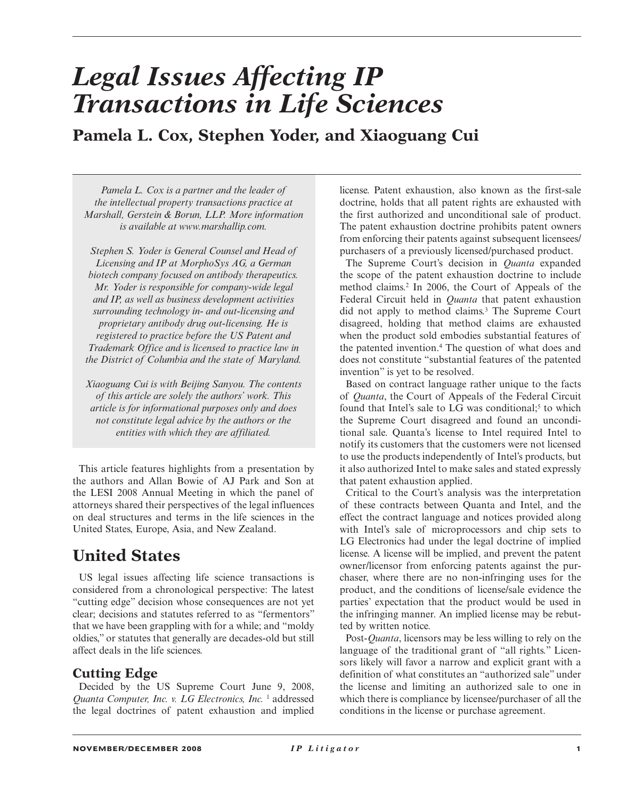# *Legal Issues Affecting IP Transactions in Life Sciences*

**Pamela L. Cox, Stephen Yoder, and Xiaoguang Cui** 

 *Pamela L. Cox is a partner and the leader of the intellectual property transactions practice at Marshall, Gerstein & Borun, LLP. More information is available at www.marshallip.com.* 

 *Stephen S. Yoder is General Counsel and Head of Licensing and IP at MorphoSys AG, a German biotech company focused on antibody therapeutics. Mr. Yoder is responsible for company-wide legal and IP, as well as business development activities surrounding technology in- and out-licensing and proprietary antibody drug out-licensing. He is registered to practice before the US Patent and Trademark Office and is licensed to practice law in the District of Columbia and the state of Maryland.* 

 *Xiaoguang Cui is with Beijing Sanyou. The contents of this article are solely the authors' work. This article is for informational purposes only and does not constitute legal advice by the authors or the entities with which they are affiliated.* 

 This article features highlights from a presentation by the authors and Allan Bowie of AJ Park and Son at the LESI 2008 Annual Meeting in which the panel of attorneys shared their perspectives of the legal influences on deal structures and terms in the life sciences in the United States, Europe, Asia, and New Zealand.

# **United States**

 US legal issues affecting life science transactions is considered from a chronological perspective: The latest "cutting edge" decision whose consequences are not yet clear; decisions and statutes referred to as "fermentors" that we have been grappling with for a while; and "moldy oldies," or statutes that generally are decades-old but still affect deals in the life sciences.

# **Cutting Edge**

 Decided by the US Supreme Court June 9, 2008, *Quanta Computer, Inc. v. LG Electronics, Inc.* 1 addressed the legal doctrines of patent exhaustion and implied

license. Patent exhaustion, also known as the first-sale doctrine, holds that all patent rights are exhausted with the first authorized and unconditional sale of product. The patent exhaustion doctrine prohibits patent owners from enforcing their patents against subsequent licensees/ purchasers of a previously licensed/purchased product.

 The Supreme Court's decision in *Quanta* expanded the scope of the patent exhaustion doctrine to include method claims.<sup>2</sup> In 2006, the Court of Appeals of the Federal Circuit held in *Quanta* that patent exhaustion did not apply to method claims.<sup>3</sup> The Supreme Court disagreed, holding that method claims are exhausted when the product sold embodies substantial features of the patented invention. 4 The question of what does and does not constitute "substantial features of the patented invention" is yet to be resolved.

 Based on contract language rather unique to the facts of *Quanta* , the Court of Appeals of the Federal Circuit found that Intel's sale to LG was conditional;<sup>5</sup> to which the Supreme Court disagreed and found an unconditional sale. Quanta's license to Intel required Intel to notify its customers that the customers were not licensed to use the products independently of Intel's products, but it also authorized Intel to make sales and stated expressly that patent exhaustion applied.

 Critical to the Court's analysis was the interpretation of these contracts between Quanta and Intel, and the effect the contract language and notices provided along with Intel's sale of microprocessors and chip sets to LG Electronics had under the legal doctrine of implied license. A license will be implied, and prevent the patent owner/licensor from enforcing patents against the purchaser, where there are no non-infringing uses for the product, and the conditions of license/sale evidence the parties' expectation that the product would be used in the infringing manner. An implied license may be rebutted by written notice.

Post-*Quanta*, licensors may be less willing to rely on the language of the traditional grant of "all rights." Licensors likely will favor a narrow and explicit grant with a definition of what constitutes an "authorized sale" under the license and limiting an authorized sale to one in which there is compliance by licensee/purchaser of all the conditions in the license or purchase agreement.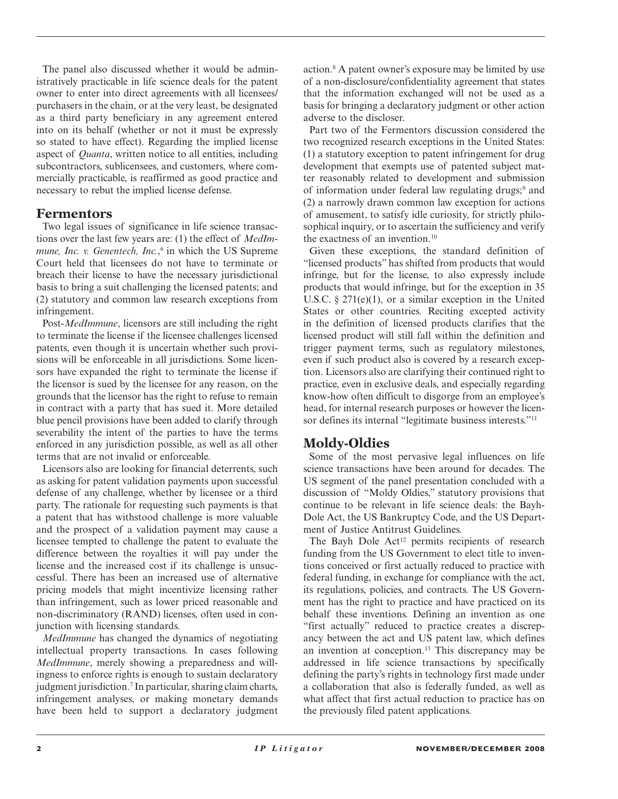The panel also discussed whether it would be administratively practicable in life science deals for the patent owner to enter into direct agreements with all licensees/ purchasers in the chain, or at the very least, be designated as a third party beneficiary in any agreement entered into on its behalf (whether or not it must be expressly so stated to have effect). Regarding the implied license aspect of *Quanta* , written notice to all entities, including subcontractors, sublicensees, and customers, where commercially practicable, is reaffirmed as good practice and necessary to rebut the implied license defense.

#### **Fermentors**

 Two legal issues of significance in life science transactions over the last few years are: (1) the effect of *MedImmune, Inc. v. Genentech, Inc.*,<sup>6</sup> in which the US Supreme Court held that licensees do not have to terminate or breach their license to have the necessary jurisdictional basis to bring a suit challenging the licensed patents; and (2) statutory and common law research exceptions from infringement.

Post-*MedImmune*, licensors are still including the right to terminate the license if the licensee challenges licensed patents, even though it is uncertain whether such provisions will be enforceable in all jurisdictions. Some licensors have expanded the right to terminate the license if the licensor is sued by the licensee for any reason, on the grounds that the licensor has the right to refuse to remain in contract with a party that has sued it. More detailed blue pencil provisions have been added to clarify through severability the intent of the parties to have the terms enforced in any jurisdiction possible, as well as all other terms that are not invalid or enforceable.

 Licensors also are looking for financial deterrents, such as asking for patent validation payments upon successful defense of any challenge, whether by licensee or a third party. The rationale for requesting such payments is that a patent that has withstood challenge is more valuable and the prospect of a validation payment may cause a licensee tempted to challenge the patent to evaluate the difference between the royalties it will pay under the license and the increased cost if its challenge is unsuccessful. There has been an increased use of alternative pricing models that might incentivize licensing rather than infringement, such as lower priced reasonable and non-discriminatory (RAND) licenses, often used in conjunction with licensing standards.

*MedImmune* has changed the dynamics of negotiating intellectual property transactions. In cases following *MedImmune* , merely showing a preparedness and willingness to enforce rights is enough to sustain declaratory judgment jurisdiction.<sup>7</sup> In particular, sharing claim charts, infringement analyses, or making monetary demands have been held to support a declaratory judgment action. 8 A patent owner's exposure may be limited by use of a non-disclosure/confidentiality agreement that states that the information exchanged will not be used as a basis for bringing a declaratory judgment or other action adverse to the discloser.

 Part two of the Fermentors discussion considered the two recognized research exceptions in the United States: (1) a statutory exception to patent infringement for drug development that exempts use of patented subject matter reasonably related to development and submission of information under federal law regulating drugs;<sup>9</sup> and (2) a narrowly drawn common law exception for actions of amusement, to satisfy idle curiosity, for strictly philosophical inquiry, or to ascertain the sufficiency and verify the exactness of an invention.<sup>10</sup>

 Given these exceptions, the standard definition of "licensed products" has shifted from products that would infringe, but for the license, to also expressly include products that would infringe, but for the exception in 35 U.S.C.  $\S 271(e)(1)$ , or a similar exception in the United States or other countries. Reciting excepted activity in the definition of licensed products clarifies that the licensed product will still fall within the definition and trigger payment terms, such as regulatory milestones, even if such product also is covered by a research exception. Licensors also are clarifying their continued right to practice, even in exclusive deals, and especially regarding know-how often difficult to disgorge from an employee's head, for internal research purposes or however the licensor defines its internal "legitimate business interests."<sup>11</sup>

# **Moldy-Oldies**

 Some of the most pervasive legal influences on life science transactions have been around for decades. The US segment of the panel presentation concluded with a discussion of "Moldy Oldies," statutory provisions that continue to be relevant in life science deals: the Bayh-Dole Act, the US Bankruptcy Code, and the US Department of Justice Antitrust Guidelines.

The Bayh Dole Act<sup>12</sup> permits recipients of research funding from the US Government to elect title to inventions conceived or first actually reduced to practice with federal funding, in exchange for compliance with the act, its regulations, policies, and contracts. The US Government has the right to practice and have practiced on its behalf these inventions. Defining an invention as one "first actually" reduced to practice creates a discrepancy between the act and US patent law, which defines an invention at conception.<sup>13</sup> This discrepancy may be addressed in life science transactions by specifically defining the party's rights in technology first made under a collaboration that also is federally funded, as well as what affect that first actual reduction to practice has on the previously filed patent applications.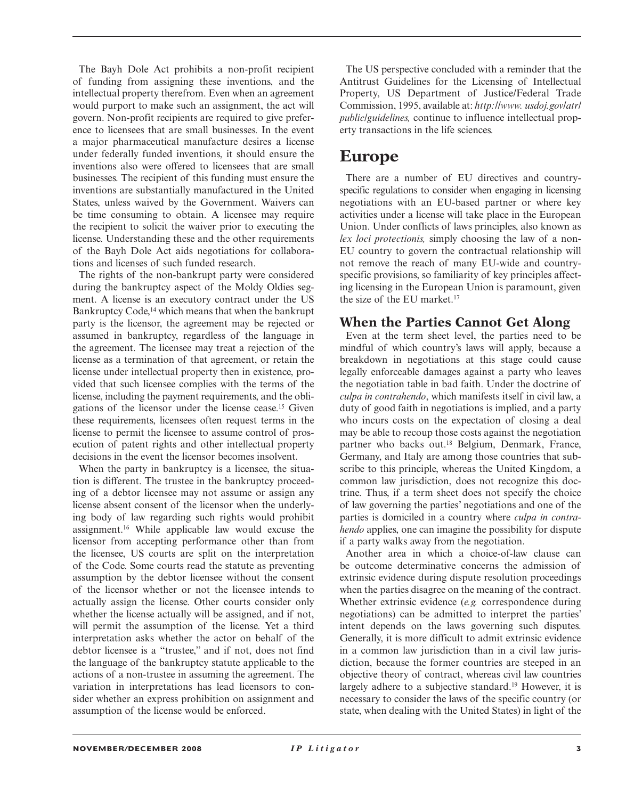The Bayh Dole Act prohibits a non-profit recipient of funding from assigning these inventions, and the intellectual property therefrom. Even when an agreement would purport to make such an assignment, the act will govern. Non-profit recipients are required to give preference to licensees that are small businesses. In the event a major pharmaceutical manufacture desires a license under federally funded inventions, it should ensure the inventions also were offered to licensees that are small businesses. The recipient of this funding must ensure the inventions are substantially manufactured in the United States, unless waived by the Government. Waivers can be time consuming to obtain. A licensee may require the recipient to solicit the waiver prior to executing the license. Understanding these and the other requirements of the Bayh Dole Act aids negotiations for collaborations and licenses of such funded research.

 The rights of the non-bankrupt party were considered during the bankruptcy aspect of the Moldy Oldies segment. A license is an executory contract under the US Bankruptcy Code,<sup>14</sup> which means that when the bankrupt party is the licensor, the agreement may be rejected or assumed in bankruptcy, regardless of the language in the agreement. The licensee may treat a rejection of the license as a termination of that agreement, or retain the license under intellectual property then in existence, provided that such licensee complies with the terms of the license, including the payment requirements, and the obligations of the licensor under the license cease. 15 Given these requirements, licensees often request terms in the license to permit the licensee to assume control of prosecution of patent rights and other intellectual property decisions in the event the licensor becomes insolvent.

When the party in bankruptcy is a licensee, the situation is different. The trustee in the bankruptcy proceeding of a debtor licensee may not assume or assign any license absent consent of the licensor when the underlying body of law regarding such rights would prohibit assignment. 16 While applicable law would excuse the licensor from accepting performance other than from the licensee, US courts are split on the interpretation of the Code. Some courts read the statute as preventing assumption by the debtor licensee without the consent of the licensor whether or not the licensee intends to actually assign the license. Other courts consider only whether the license actually will be assigned, and if not, will permit the assumption of the license. Yet a third interpretation asks whether the actor on behalf of the debtor licensee is a "trustee," and if not, does not find the language of the bankruptcy statute applicable to the actions of a non-trustee in assuming the agreement. The variation in interpretations has lead licensors to consider whether an express prohibition on assignment and assumption of the license would be enforced.

 The US perspective concluded with a reminder that the Antitrust Guidelines for the Licensing of Intellectual Property, US Department of Justice/Federal Trade Commission, 1995, available at: *http://www. usdoj.gov/atr/ public/guidelines,* continue to influence intellectual property transactions in the life sciences.

# **Europe**

 There are a number of EU directives and countryspecific regulations to consider when engaging in licensing negotiations with an EU-based partner or where key activities under a license will take place in the European Union. Under conflicts of laws principles, also known as *lex loci protectionis,* simply choosing the law of a non-EU country to govern the contractual relationship will not remove the reach of many EU-wide and country specific provisions, so familiarity of key principles affecting licensing in the European Union is paramount, given the size of the EU market.<sup>17</sup>

#### **When the Parties Cannot Get Along**

 Even at the term sheet level, the parties need to be mindful of which country's laws will apply, because a breakdown in negotiations at this stage could cause legally enforceable damages against a party who leaves the negotiation table in bad faith. Under the doctrine of *culpa in contrahendo* , which manifests itself in civil law, a duty of good faith in negotiations is implied, and a party who incurs costs on the expectation of closing a deal may be able to recoup those costs against the negotiation partner who backs out.<sup>18</sup> Belgium, Denmark, France, Germany, and Italy are among those countries that subscribe to this principle, whereas the United Kingdom, a common law jurisdiction, does not recognize this doctrine. Thus, if a term sheet does not specify the choice of law governing the parties' negotiations and one of the parties is domiciled in a country where *culpa in contrahendo* applies, one can imagine the possibility for dispute if a party walks away from the negotiation.

 Another area in which a choice-of-law clause can be outcome determinative concerns the admission of extrinsic evidence during dispute resolution proceedings when the parties disagree on the meaning of the contract. Whether extrinsic evidence (*e.g.* correspondence during negotiations) can be admitted to interpret the parties' intent depends on the laws governing such disputes. Generally, it is more difficult to admit extrinsic evidence in a common law jurisdiction than in a civil law jurisdiction, because the former countries are steeped in an objective theory of contract, whereas civil law countries largely adhere to a subjective standard.<sup>19</sup> However, it is necessary to consider the laws of the specific country (or state, when dealing with the United States) in light of the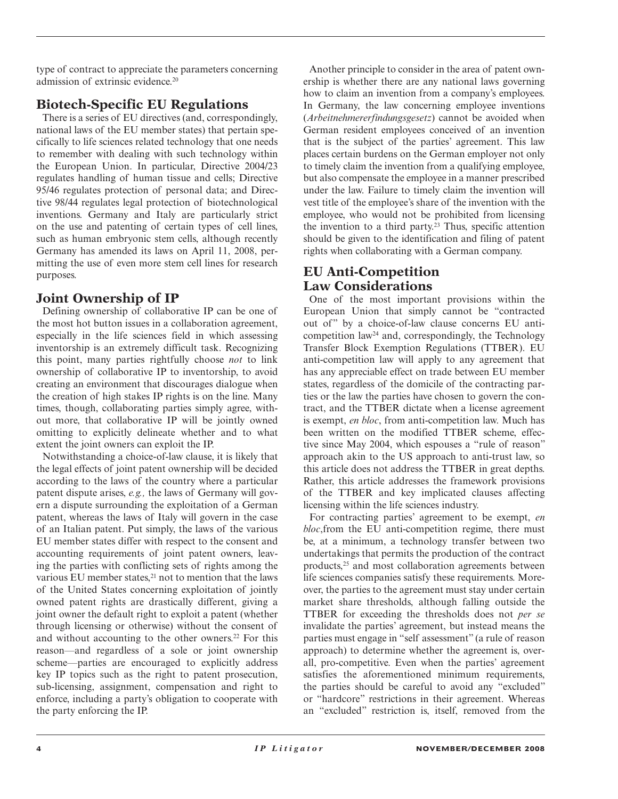type of contract to appreciate the parameters concerning admission of extrinsic evidence. 20

# **Biotech-Specific EU Regulations**

 There is a series of EU directives (and, correspondingly, national laws of the EU member states) that pertain specifically to life sciences related technology that one needs to remember with dealing with such technology within the European Union. In particular, Directive 2004/23 regulates handling of human tissue and cells; Directive 95/46 regulates protection of personal data; and Directive 98/44 regulates legal protection of biotechnological inventions. Germany and Italy are particularly strict on the use and patenting of certain types of cell lines, such as human embryonic stem cells, although recently Germany has amended its laws on April 11, 2008, permitting the use of even more stem cell lines for research purposes.

# **Joint Ownership of IP**

 Defining ownership of collaborative IP can be one of the most hot button issues in a collaboration agreement, especially in the life sciences field in which assessing inventorship is an extremely difficult task. Recognizing this point, many parties rightfully choose *not* to link ownership of collaborative IP to inventorship, to avoid creating an environment that discourages dialogue when the creation of high stakes IP rights is on the line. Many times, though, collaborating parties simply agree, without more, that collaborative IP will be jointly owned omitting to explicitly delineate whether and to what extent the joint owners can exploit the IP.

 Notwithstanding a choice-of-law clause, it is likely that the legal effects of joint patent ownership will be decided according to the laws of the country where a particular patent dispute arises, *e.g.,* the laws of Germany will govern a dispute surrounding the exploitation of a German patent, whereas the laws of Italy will govern in the case of an Italian patent. Put simply, the laws of the various EU member states differ with respect to the consent and accounting requirements of joint patent owners, leaving the parties with conflicting sets of rights among the various EU member states,<sup>21</sup> not to mention that the laws of the United States concerning exploitation of jointly owned patent rights are drastically different, giving a joint owner the default right to exploit a patent (whether through licensing or otherwise) without the consent of and without accounting to the other owners.<sup>22</sup> For this reason—and regardless of a sole or joint ownership scheme—parties are encouraged to explicitly address key IP topics such as the right to patent prosecution, sub-licensing, assignment, compensation and right to enforce, including a party's obligation to cooperate with the party enforcing the IP.

 Another principle to consider in the area of patent ownership is whether there are any national laws governing how to claim an invention from a company's employees. In Germany, the law concerning employee inventions ( *Arbeitnehmererfindungsgesetz* ) cannot be avoided when German resident employees conceived of an invention that is the subject of the parties' agreement. This law places certain burdens on the German employer not only to timely claim the invention from a qualifying employee, but also compensate the employee in a manner prescribed under the law. Failure to timely claim the invention will vest title of the employee's share of the invention with the employee, who would not be prohibited from licensing the invention to a third party.<sup>23</sup> Thus, specific attention should be given to the identification and filing of patent rights when collaborating with a German company.

# **EU Anti-Competition Law Considerations**

 One of the most important provisions within the European Union that simply cannot be "contracted out of" by a choice-of-law clause concerns EU anticompetition law<sup>24</sup> and, correspondingly, the Technology Transfer Block Exemption Regulations (TTBER). EU anti-competition law will apply to any agreement that has any appreciable effect on trade between EU member states, regardless of the domicile of the contracting parties or the law the parties have chosen to govern the contract, and the TTBER dictate when a license agreement is exempt, *en bloc*, from anti-competition law. Much has been written on the modified TTBER scheme, effective since May 2004, which espouses a "rule of reason" approach akin to the US approach to anti-trust law, so this article does not address the TTBER in great depths. Rather, this article addresses the framework provisions of the TTBER and key implicated clauses affecting licensing within the life sciences industry.

 For contracting parties' agreement to be exempt, *en bloc*, from the EU anti-competition regime, there must be, at a minimum, a technology transfer between two undertakings that permits the production of the contract products,<sup>25</sup> and most collaboration agreements between life sciences companies satisfy these requirements. Moreover, the parties to the agreement must stay under certain market share thresholds, although falling outside the TTBER for exceeding the thresholds does not *per se* invalidate the parties' agreement, but instead means the parties must engage in "self assessment" (a rule of reason approach) to determine whether the agreement is, overall, pro-competitive. Even when the parties' agreement satisfies the aforementioned minimum requirements, the parties should be careful to avoid any "excluded" or "hardcore" restrictions in their agreement. Whereas an "excluded" restriction is, itself, removed from the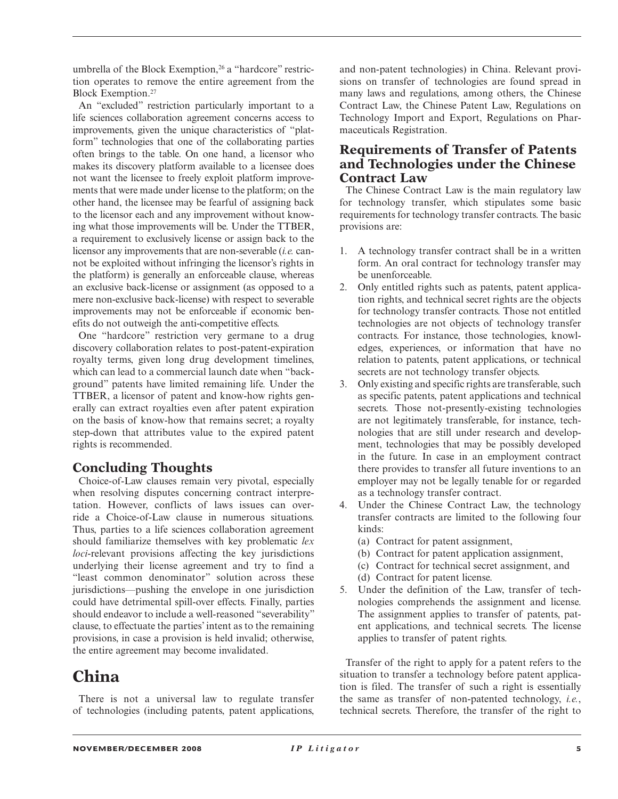umbrella of the Block Exemption,<sup>26</sup> a "hardcore" restriction operates to remove the entire agreement from the Block Exemption.<sup>27</sup>

 An "excluded" restriction particularly important to a life sciences collaboration agreement concerns access to improvements, given the unique characteristics of "platform" technologies that one of the collaborating parties often brings to the table. On one hand, a licensor who makes its discovery platform available to a licensee does not want the licensee to freely exploit platform improvements that were made under license to the platform; on the other hand, the licensee may be fearful of assigning back to the licensor each and any improvement without knowing what those improvements will be. Under the TTBER, a requirement to exclusively license or assign back to the licensor any improvements that are non-severable *(i.e.* cannot be exploited without infringing the licensor's rights in the platform) is generally an enforceable clause, whereas an exclusive back-license or assignment (as opposed to a mere non-exclusive back-license) with respect to severable improvements may not be enforceable if economic benefits do not outweigh the anti-competitive effects.

 One "hardcore" restriction very germane to a drug discovery collaboration relates to post-patent-expiration royalty terms, given long drug development timelines, which can lead to a commercial launch date when "background" patents have limited remaining life. Under the TTBER, a licensor of patent and know-how rights generally can extract royalties even after patent expiration on the basis of know-how that remains secret; a royalty step-down that attributes value to the expired patent rights is recommended.

# **Concluding Thoughts**

 Choice-of-Law clauses remain very pivotal, especially when resolving disputes concerning contract interpretation. However, conflicts of laws issues can override a Choice-of-Law clause in numerous situations. Thus, parties to a life sciences collaboration agreement should familiarize themselves with key problematic *lex loci-* relevant provisions affecting the key jurisdictions underlying their license agreement and try to find a "least common denominator" solution across these jurisdictions—pushing the envelope in one jurisdiction could have detrimental spill-over effects. Finally, parties should endeavor to include a well-reasoned "severability" clause, to effectuate the parties' intent as to the remaining provisions, in case a provision is held invalid; otherwise, the entire agreement may become invalidated.

# **China**

 There is not a universal law to regulate transfer of technologies (including patents, patent applications, and non-patent technologies) in China. Relevant provisions on transfer of technologies are found spread in many laws and regulations, among others, the Chinese Contract Law, the Chinese Patent Law, Regulations on Technology Import and Export, Regulations on Pharmaceuticals Registration.

# **Requirements of Transfer of Patents and Technologies under the Chinese Contract Law**

 The Chinese Contract Law is the main regulatory law for technology transfer, which stipulates some basic requirements for technology transfer contracts. The basic provisions are:

- 1. A technology transfer contract shall be in a written form. An oral contract for technology transfer may be unenforceable.
- 2. Only entitled rights such as patents, patent application rights, and technical secret rights are the objects for technology transfer contracts. Those not entitled technologies are not objects of technology transfer contracts. For instance, those technologies, knowledges, experiences, or information that have no relation to patents, patent applications, or technical secrets are not technology transfer objects.
- 3. Only existing and specific rights are transferable, such as specific patents, patent applications and technical secrets. Those not-presently-existing technologies are not legitimately transferable, for instance, technologies that are still under research and development, technologies that may be possibly developed in the future. In case in an employment contract there provides to transfer all future inventions to an employer may not be legally tenable for or regarded as a technology transfer contract.
- 4. Under the Chinese Contract Law, the technology transfer contracts are limited to the following four kinds:
	- (a) Contract for patent assignment,
	- (b) Contract for patent application assignment,
	- (c) Contract for technical secret assignment, and
	- (d) Contract for patent license.
- 5. Under the definition of the Law, transfer of technologies comprehends the assignment and license. The assignment applies to transfer of patents, patent applications, and technical secrets. The license applies to transfer of patent rights.

 Transfer of the right to apply for a patent refers to the situation to transfer a technology before patent application is filed. The transfer of such a right is essentially the same as transfer of non-patented technology, *i.e.* , technical secrets. Therefore, the transfer of the right to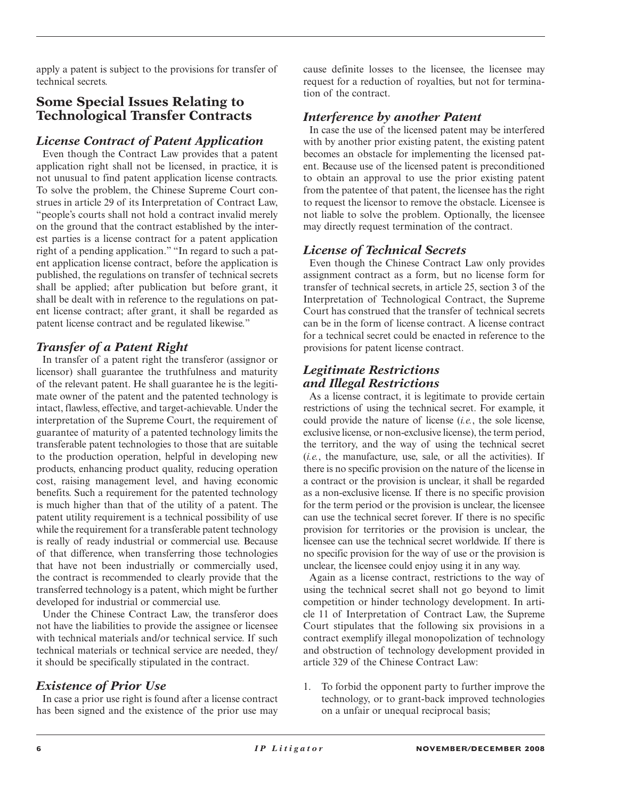apply a patent is subject to the provisions for transfer of technical secrets.

# **Some Special Issues Relating to Technological Transfer Contracts**

#### *License Contract of Patent Application*

 Even though the Contract Law provides that a patent application right shall not be licensed, in practice, it is not unusual to find patent application license contracts. To solve the problem, the Chinese Supreme Court construes in article 29 of its Interpretation of Contract Law, "people's courts shall not hold a contract invalid merely on the ground that the contract established by the interest parties is a license contract for a patent application right of a pending application." "In regard to such a patent application license contract, before the application is published, the regulations on transfer of technical secrets shall be applied; after publication but before grant, it shall be dealt with in reference to the regulations on patent license contract; after grant, it shall be regarded as patent license contract and be regulated likewise."

# *Transfer of a Patent Right*

 In transfer of a patent right the transferor (assignor or licensor) shall guarantee the truthfulness and maturity of the relevant patent. He shall guarantee he is the legitimate owner of the patent and the patented technology is intact, flawless, effective, and target-achievable. Under the interpretation of the Supreme Court, the requirement of guarantee of maturity of a patented technology limits the transferable patent technologies to those that are suitable to the production operation, helpful in developing new products, enhancing product quality, reducing operation cost, raising management level, and having economic benefits. Such a requirement for the patented technology is much higher than that of the utility of a patent. The patent utility requirement is a technical possibility of use while the requirement for a transferable patent technology is really of ready industrial or commercial use. Because of that difference, when transferring those technologies that have not been industrially or commercially used, the contract is recommended to clearly provide that the transferred technology is a patent, which might be further developed for industrial or commercial use.

 Under the Chinese Contract Law, the transferor does not have the liabilities to provide the assignee or licensee with technical materials and/or technical service. If such technical materials or technical service are needed, they/ it should be specifically stipulated in the contract.

# *Existence of Prior Use*

 In case a prior use right is found after a license contract has been signed and the existence of the prior use may cause definite losses to the licensee, the licensee may request for a reduction of royalties, but not for termination of the contract.

#### *Interference by another Patent*

 In case the use of the licensed patent may be interfered with by another prior existing patent, the existing patent becomes an obstacle for implementing the licensed patent. Because use of the licensed patent is preconditioned to obtain an approval to use the prior existing patent from the patentee of that patent, the licensee has the right to request the licensor to remove the obstacle. Licensee is not liable to solve the problem. Optionally, the licensee may directly request termination of the contract.

#### *License of Technical Secrets*

 Even though the Chinese Contract Law only provides assignment contract as a form, but no license form for transfer of technical secrets, in article 25, section 3 of the Interpretation of Technological Contract, the Supreme Court has construed that the transfer of technical secrets can be in the form of license contract. A license contract for a technical secret could be enacted in reference to the provisions for patent license contract.

## *Legitimate Restrictions and Illegal Restrictions*

 As a license contract, it is legitimate to provide certain restrictions of using the technical secret. For example, it could provide the nature of license *(i.e.*, the sole license, exclusive license, or non-exclusive license), the term period, the territory, and the way of using the technical secret  $(i.e., the manufacturer, use, sale, or all the activities).$  If there is no specific provision on the nature of the license in a contract or the provision is unclear, it shall be regarded as a non-exclusive license. If there is no specific provision for the term period or the provision is unclear, the licensee can use the technical secret forever. If there is no specific provision for territories or the provision is unclear, the licensee can use the technical secret worldwide. If there is no specific provision for the way of use or the provision is unclear, the licensee could enjoy using it in any way.

 Again as a license contract, restrictions to the way of using the technical secret shall not go beyond to limit competition or hinder technology development. In article 11 of Interpretation of Contract Law, the Supreme Court stipulates that the following six provisions in a contract exemplify illegal monopolization of technology and obstruction of technology development provided in article 329 of the Chinese Contract Law:

 1. To forbid the opponent party to further improve the technology, or to grant-back improved technologies on a unfair or unequal reciprocal basis;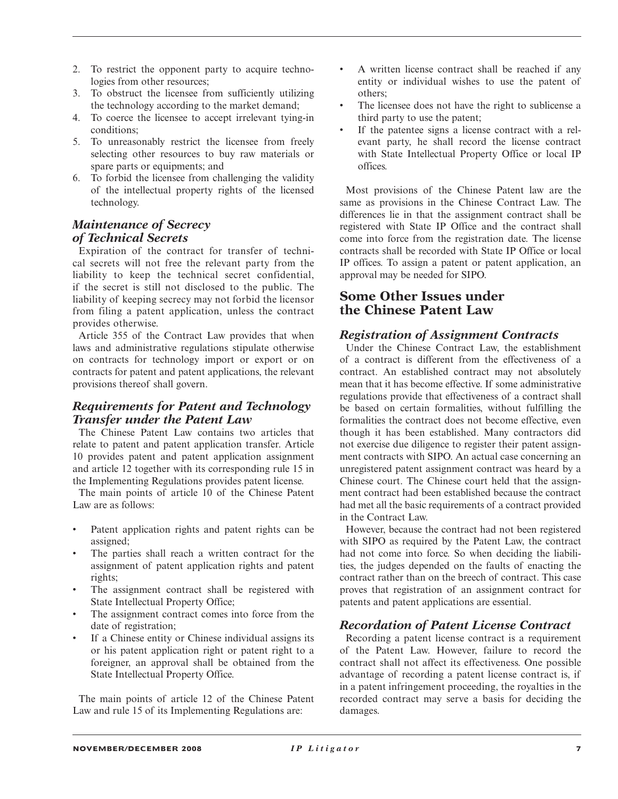- 2. To restrict the opponent party to acquire technologies from other resources;
- 3. To obstruct the licensee from sufficiently utilizing the technology according to the market demand;
- 4. To coerce the licensee to accept irrelevant tying-in conditions;
- 5. To unreasonably restrict the licensee from freely selecting other resources to buy raw materials or spare parts or equipments; and
- 6. To forbid the licensee from challenging the validity of the intellectual property rights of the licensed technology.

#### *Maintenance of Secrecy of Technical Secrets*

 Expiration of the contract for transfer of technical secrets will not free the relevant party from the liability to keep the technical secret confidential, if the secret is still not disclosed to the public. The liability of keeping secrecy may not forbid the licensor from filing a patent application, unless the contract provides otherwise.

 Article 355 of the Contract Law provides that when laws and administrative regulations stipulate otherwise on contracts for technology import or export or on contracts for patent and patent applications, the relevant provisions thereof shall govern.

#### *Requirements for Patent and Technology Transfer under the Patent Law*

 The Chinese Patent Law contains two articles that relate to patent and patent application transfer. Article 10 provides patent and patent application assignment and article 12 together with its corresponding rule 15 in the Implementing Regulations provides patent license.

 The main points of article 10 of the Chinese Patent Law are as follows:

- Patent application rights and patent rights can be assigned;
- The parties shall reach a written contract for the assignment of patent application rights and patent rights;
- The assignment contract shall be registered with State Intellectual Property Office;
- The assignment contract comes into force from the date of registration;
- If a Chinese entity or Chinese individual assigns its or his patent application right or patent right to a foreigner, an approval shall be obtained from the State Intellectual Property Office.

 The main points of article 12 of the Chinese Patent Law and rule 15 of its Implementing Regulations are:

- A written license contract shall be reached if any entity or individual wishes to use the patent of others;
- The licensee does not have the right to sublicense a third party to use the patent;
- If the patentee signs a license contract with a relevant party, he shall record the license contract with State Intellectual Property Office or local IP offices.

 Most provisions of the Chinese Patent law are the same as provisions in the Chinese Contract Law. The differences lie in that the assignment contract shall be registered with State IP Office and the contract shall come into force from the registration date. The license contracts shall be recorded with State IP Office or local IP offices. To assign a patent or patent application, an approval may be needed for SIPO.

# **Some Other Issues under the Chinese Patent Law**

#### *Registration of Assignment Contracts*

 Under the Chinese Contract Law, the establishment of a contract is different from the effectiveness of a contract. An established contract may not absolutely mean that it has become effective. If some administrative regulations provide that effectiveness of a contract shall be based on certain formalities, without fulfilling the formalities the contract does not become effective, even though it has been established. Many contractors did not exercise due diligence to register their patent assignment contracts with SIPO. An actual case concerning an unregistered patent assignment contract was heard by a Chinese court. The Chinese court held that the assignment contract had been established because the contract had met all the basic requirements of a contract provided in the Contract Law.

 However, because the contract had not been registered with SIPO as required by the Patent Law, the contract had not come into force. So when deciding the liabilities, the judges depended on the faults of enacting the contract rather than on the breech of contract. This case proves that registration of an assignment contract for patents and patent applications are essential.

# *Recordation of Patent License Contract*

 Recording a patent license contract is a requirement of the Patent Law. However, failure to record the contract shall not affect its effectiveness. One possible advantage of recording a patent license contract is, if in a patent infringement proceeding, the royalties in the recorded contract may serve a basis for deciding the damages.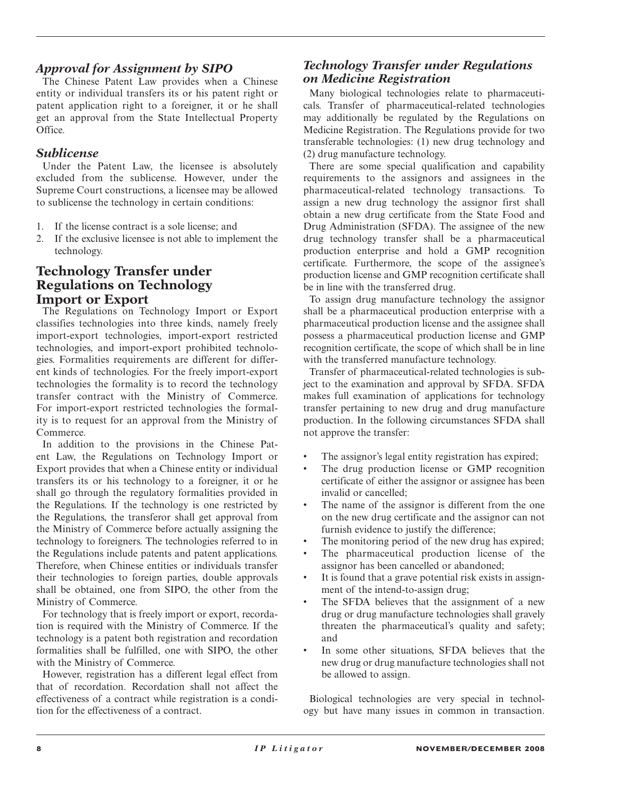# *Approval for Assignment by SIPO*

 The Chinese Patent Law provides when a Chinese entity or individual transfers its or his patent right or patent application right to a foreigner, it or he shall get an approval from the State Intellectual Property Office.

#### *Sublicense*

 Under the Patent Law, the licensee is absolutely excluded from the sublicense. However, under the Supreme Court constructions, a licensee may be allowed to sublicense the technology in certain conditions:

- 1. If the license contract is a sole license; and
- 2. If the exclusive licensee is not able to implement the technology.

# **Technology Transfer under Regulations on Technology Import or Export**

 The Regulations on Technology Import or Export classifies technologies into three kinds, namely freely import-export technologies, import-export restricted technologies, and import-export prohibited technologies. Formalities requirements are different for different kinds of technologies. For the freely import-export technologies the formality is to record the technology transfer contract with the Ministry of Commerce. For import-export restricted technologies the formality is to request for an approval from the Ministry of Commerce.

 In addition to the provisions in the Chinese Patent Law, the Regulations on Technology Import or Export provides that when a Chinese entity or individual transfers its or his technology to a foreigner, it or he shall go through the regulatory formalities provided in the Regulations. If the technology is one restricted by the Regulations, the transferor shall get approval from the Ministry of Commerce before actually assigning the technology to foreigners. The technologies referred to in the Regulations include patents and patent applications. Therefore, when Chinese entities or individuals transfer their technologies to foreign parties, double approvals shall be obtained, one from SIPO, the other from the Ministry of Commerce.

 For technology that is freely import or export, recordation is required with the Ministry of Commerce. If the technology is a patent both registration and recordation formalities shall be fulfilled, one with SIPO, the other with the Ministry of Commerce.

 However, registration has a different legal effect from that of recordation. Recordation shall not affect the effectiveness of a contract while registration is a condition for the effectiveness of a contract.

## *Technology Transfer under Regulations on Medicine Registration*

 Many biological technologies relate to pharmaceuticals. Transfer of pharmaceutical-related technologies may additionally be regulated by the Regulations on Medicine Registration. The Regulations provide for two transferable technologies: (1) new drug technology and (2) drug manufacture technology.

 There are some special qualification and capability requirements to the assignors and assignees in the pharmaceutical-related technology transactions. To assign a new drug technology the assignor first shall obtain a new drug certificate from the State Food and Drug Administration (SFDA). The assignee of the new drug technology transfer shall be a pharmaceutical production enterprise and hold a GMP recognition certificate. Furthermore, the scope of the assignee's production license and GMP recognition certificate shall be in line with the transferred drug.

 To assign drug manufacture technology the assignor shall be a pharmaceutical production enterprise with a pharmaceutical production license and the assignee shall possess a pharmaceutical production license and GMP recognition certificate, the scope of which shall be in line with the transferred manufacture technology.

 Transfer of pharmaceutical-related technologies is subject to the examination and approval by SFDA. SFDA makes full examination of applications for technology transfer pertaining to new drug and drug manufacture production. In the following circumstances SFDA shall not approve the transfer:

- The assignor's legal entity registration has expired;
- The drug production license or GMP recognition certificate of either the assignor or assignee has been invalid or cancelled;
- The name of the assignor is different from the one on the new drug certificate and the assignor can not furnish evidence to justify the difference;
- The monitoring period of the new drug has expired;
- The pharmaceutical production license of the assignor has been cancelled or abandoned;
- It is found that a grave potential risk exists in assignment of the intend-to-assign drug;
- The SFDA believes that the assignment of a new drug or drug manufacture technologies shall gravely threaten the pharmaceutical's quality and safety; and
- In some other situations, SFDA believes that the new drug or drug manufacture technologies shall not be allowed to assign.

 Biological technologies are very special in technology but have many issues in common in transaction.